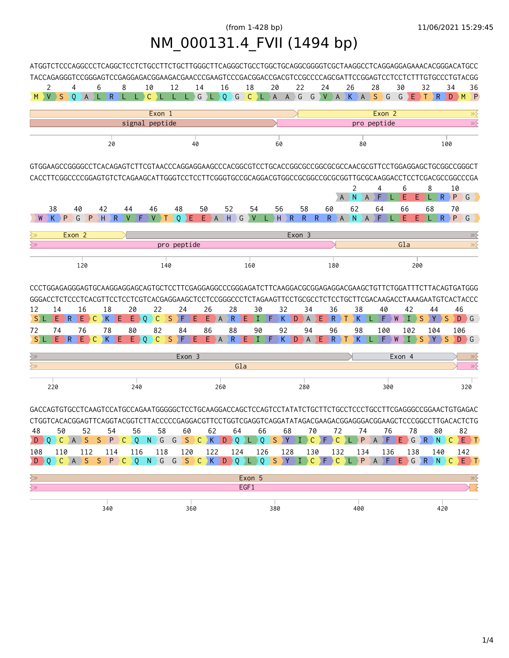## (from 1-428 bp) 11/06/2021 15:29:45 NM\_000131.4\_FVII (1494 bp)

|                                                                               |          |                                                   |                  |    |         |           |                         |    |         |                         |          |         |                         |     |                                        |     |         |         |         |                                 |               |         |                |          |     |          |             |                |       | ATGGTCTCCCAGGCCCTCAGGCTCCTCTGCCTTCTGCTTGGGCTTCAGGGCTGCCTGGCTGCAGGCGGGTCGCTAAGGCCTCAGGAGGAGAAACACGGGACATGCC                                                                                                                                            |
|-------------------------------------------------------------------------------|----------|---------------------------------------------------|------------------|----|---------|-----------|-------------------------|----|---------|-------------------------|----------|---------|-------------------------|-----|----------------------------------------|-----|---------|---------|---------|---------------------------------|---------------|---------|----------------|----------|-----|----------|-------------|----------------|-------|-------------------------------------------------------------------------------------------------------------------------------------------------------------------------------------------------------------------------------------------------------|
|                                                                               |          |                                                   |                  |    |         |           |                         |    |         |                         |          |         |                         |     |                                        |     |         |         |         |                                 |               |         |                |          |     |          |             |                |       | TACCAGAGGGTCCGGGAGTCCGAGGAGACGGAAGACGGAACCCGAAGTCCCGACGGACCGACGTCCGCCCCAGCGATTCCGGAGTCCTCCTCTTTGTGCCCTGTACGG                                                                                                                                          |
|                                                                               | 2        |                                                   | 4<br>M V S O A L | 6  | R       | 8<br>¢    | L.                      | 10 | $C$ $L$ | 12<br>L                 | 14<br>L. |         | 16                      |     | 18<br>G L Q G C L A                    | 20  |         | $A \ G$ | 22      | 24<br>$G$ V $A$ $K$ $A$ $S$ $G$ |               | 26      |                | 28       |     | 30<br>G  | 32<br>$E$ T | $\overline{R}$ | 34    | 36<br>$D$ $M$ $P$                                                                                                                                                                                                                                     |
|                                                                               |          |                                                   |                  |    |         |           |                         |    |         |                         |          |         |                         |     |                                        |     |         |         |         |                                 |               |         |                |          |     |          |             |                |       |                                                                                                                                                                                                                                                       |
|                                                                               |          | Exon 2<br>Exon 1<br>signal peptide<br>pro peptide |                  |    |         |           |                         |    |         |                         |          |         |                         |     |                                        |     |         |         |         |                                 | $\gg$         |         |                |          |     |          |             |                |       |                                                                                                                                                                                                                                                       |
|                                                                               |          |                                                   |                  |    |         |           |                         |    |         |                         |          |         |                         |     |                                        |     |         |         |         |                                 |               |         |                |          |     |          |             |                |       |                                                                                                                                                                                                                                                       |
|                                                                               |          |                                                   |                  |    | 20      |           |                         |    |         |                         | 40       |         |                         |     |                                        |     | 60      |         |         |                                 |               |         | 80             |          |     |          |             |                | 100   |                                                                                                                                                                                                                                                       |
|                                                                               |          |                                                   |                  |    |         |           |                         |    |         |                         |          |         |                         |     |                                        |     |         |         |         |                                 |               |         |                |          |     |          |             |                |       |                                                                                                                                                                                                                                                       |
|                                                                               |          |                                                   |                  |    |         |           |                         |    |         |                         |          |         |                         |     |                                        |     |         |         |         |                                 |               |         |                |          |     |          |             |                |       | 10                                                                                                                                                                                                                                                    |
|                                                                               |          |                                                   |                  |    |         |           |                         |    |         |                         |          |         |                         |     |                                        |     |         |         |         |                                 | A             | 2<br>١N | A              | 4<br>F   |     | 6<br>Е   | Е.          | 8              | $R$ ) | P G                                                                                                                                                                                                                                                   |
|                                                                               | 38       |                                                   | 40               |    | 42      |           | 44                      | 46 |         | 48                      |          | 50      | 52                      |     | 54                                     |     | 56      |         | 58      | 60                              |               | 62      |                | 64       |     | 66       |             | 68             |       | 70                                                                                                                                                                                                                                                    |
|                                                                               |          | P                                                 | G                | P  | H       | R         |                         | v  |         | 0                       | Е.       | E.<br>A | H                       | G   | V                                      |     | H       | R.      | R.      | $\mathsf{R}$<br>R.              |               | A N     | $\overline{A}$ |          |     | E        | E.          | R.             |       | P.<br>$\bigcirc$ G                                                                                                                                                                                                                                    |
|                                                                               |          |                                                   | Exon 2           |    |         |           |                         |    |         |                         |          |         |                         |     |                                        |     |         |         | Exon 3  |                                 |               |         |                |          |     |          |             |                |       | $\gg$                                                                                                                                                                                                                                                 |
| ≷≫                                                                            |          |                                                   |                  |    |         |           |                         |    |         | pro peptide             |          |         |                         |     |                                        |     |         |         |         |                                 |               |         |                |          |     | Gla      |             |                |       | $\gg$                                                                                                                                                                                                                                                 |
|                                                                               |          |                                                   |                  |    |         |           |                         |    |         |                         |          |         |                         |     |                                        |     |         |         |         |                                 |               |         |                |          |     |          |             |                |       |                                                                                                                                                                                                                                                       |
|                                                                               |          | 120<br>140<br>160<br>180                          |                  |    |         |           |                         |    |         |                         |          |         |                         |     |                                        |     | 200     |         |         |                                 |               |         |                |          |     |          |             |                |       |                                                                                                                                                                                                                                                       |
| 12<br>S) L                                                                    | 14<br>E. | R.                                                | 16<br>E.         | С  | 18<br>K | E         | 20<br>Ε.                | 0  | 22<br>С | 24<br>S<br>F            | Е        | 26<br>Ε | 28<br>R<br>A            |     | 30<br>F<br>Ι                           | F   | 32<br>Κ | D       | 34<br>A | F                               | 36<br>R<br>96 |         | 38<br>К        | 40       |     | 42       | S           | 44             | S     | CCCTGGAGAGGGAGTGCAAGGAGGAGCAGTGCTCCTTCGAGGAGGCCCGGGAGATCTTCAAGGACGCGGAGAGGACGAAGCTGTTCTGGATTTCTTACAGTGATGGG<br>GGGACCTCTCCCTCACGTTCCTCCTCGTCACGAGGAAGCTCCTCCGGGCCCTCTAGAAGTTCCTGCGCCTCTCCTGCTTCGACAAGACCTAAAGAATGTCACTACCC<br>46<br>$D \rightarrow G$ |
| 72                                                                            | 74       | $E \rightarrow R$                                 | 76               | C. | 78      | $K$ ) $E$ | 80<br>$E \rightarrow Q$ |    | 82<br>C | 84<br>ΣF<br>S.          | Е        | 86<br>Е | 88<br>$\mathsf{R}$<br>A |     | 90<br>Е                                | F.  | 92<br>K | D       | 94<br>A |                                 | R             |         | 98<br>K.       | 100<br>F |     | 102<br>W | S           | 104            | S     | 106<br>$D \rightarrow G$                                                                                                                                                                                                                              |
|                                                                               |          |                                                   |                  |    |         |           |                         |    |         |                         |          |         |                         |     |                                        |     |         |         |         |                                 |               |         |                |          |     |          |             |                |       |                                                                                                                                                                                                                                                       |
| ≷≫<br>$\leftrightarrow$                                                       |          |                                                   |                  |    |         |           |                         |    |         |                         | Exon 3   |         |                         | Gla |                                        |     |         |         |         |                                 |               |         |                |          |     | Exon 4   |             |                |       | $\gg$<br>$\gg$                                                                                                                                                                                                                                        |
|                                                                               |          |                                                   |                  |    |         |           |                         |    |         |                         |          |         |                         |     |                                        |     |         |         |         |                                 |               |         |                |          |     |          |             |                |       |                                                                                                                                                                                                                                                       |
|                                                                               | 220      |                                                   |                  |    |         |           | 240                     |    |         |                         |          |         | 260                     |     |                                        |     |         |         | 280     |                                 |               |         |                |          | 300 |          |             |                |       | 320                                                                                                                                                                                                                                                   |
|                                                                               |          |                                                   |                  |    |         |           |                         |    |         |                         |          |         |                         |     |                                        |     |         |         |         |                                 |               |         |                |          |     |          |             |                |       |                                                                                                                                                                                                                                                       |
|                                                                               |          |                                                   |                  |    |         |           |                         |    |         |                         |          |         |                         |     |                                        |     |         |         |         |                                 |               |         |                |          |     |          |             |                |       | GACCAGTGTGCCTCAAGTCCATGCCAGAATGGGGGCTCCTGCAAGGACCAGCTCCAGTCCTATATCTGCTTCTGCCTCCCTGCCTTCGAGGGCCGGAACTGTGAGAC                                                                                                                                           |
|                                                                               |          |                                                   |                  |    |         |           |                         |    |         |                         |          |         |                         |     |                                        |     |         |         |         |                                 |               |         |                |          |     |          |             |                |       | CTGGTCACACGGAGTTCAGGTACGGTCTTACCCCCGAGGACGTTCCTGGTCGAGGTCAGGATATAGACGAAGACGGAGGGACGGAAGCTCCCGGCCTTGACACTCTG                                                                                                                                           |
| 48                                                                            |          | 50 —                                              |                  |    |         | 52 54     | 56 —                    |    |         |                         |          |         |                         |     | 58 60 62 64 66 68 70 72 74 76 78 80 82 |     |         |         |         |                                 |               |         |                |          |     |          |             |                |       | D Q C A S S P C Q N G G S C K D Q L Q S Y I C F C L P A F E G R N C E T                                                                                                                                                                               |
| 108                                                                           |          |                                                   |                  |    |         |           |                         |    |         | 110 112 114 116 118 120 |          |         |                         |     | 122 124 126 128 130 132 134 136        |     |         |         |         |                                 |               |         |                |          |     |          | 138         | 140            |       | 142                                                                                                                                                                                                                                                   |
|                                                                               |          |                                                   |                  |    |         |           |                         |    |         |                         |          |         |                         |     |                                        |     |         |         |         |                                 |               |         |                |          |     |          |             |                |       | D Q C A S S P C Q N G G S C K D Q L Q S Y I C F C L P A F E G R N C E T                                                                                                                                                                               |
|                                                                               |          |                                                   |                  |    |         |           |                         |    |         |                         |          |         |                         |     |                                        |     |         |         |         |                                 |               |         |                |          |     |          |             |                |       |                                                                                                                                                                                                                                                       |
| $\overline{\left\langle \mathbf{y}\right\rangle }$<br>$\overline{\mathbb{R}}$ |          |                                                   |                  |    |         |           |                         |    |         |                         |          |         |                         |     | Exon 5<br>EGF1                         |     |         |         |         |                                 |               |         |                |          |     |          |             |                |       | $\gg$                                                                                                                                                                                                                                                 |
|                                                                               |          |                                                   |                  |    |         |           |                         |    |         |                         |          |         |                         |     |                                        |     |         |         |         |                                 |               |         |                |          |     |          |             |                |       |                                                                                                                                                                                                                                                       |
|                                                                               |          |                                                   |                  |    | 340     |           |                         |    |         |                         | 360      |         |                         |     |                                        | 380 |         |         |         |                                 |               |         | 400            |          |     |          |             | 420            |       |                                                                                                                                                                                                                                                       |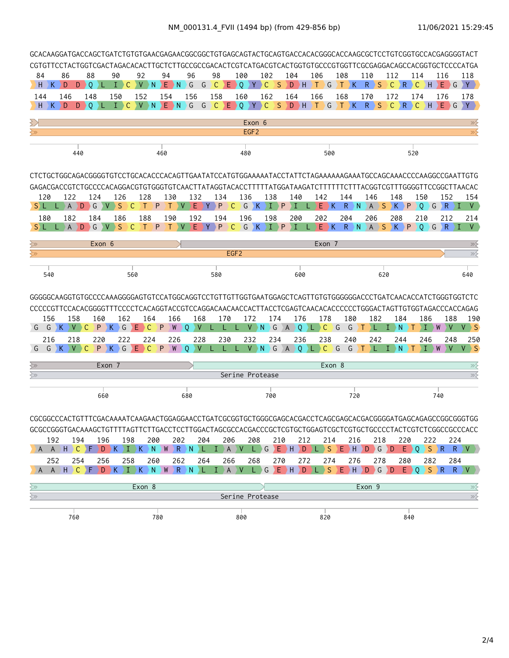|                                                          |          |              |                        |              |                                                                        |              |              |     |              |                   |                     |          |                                                            |                          |                  |              |                |                |          |                     |              |              |              |               |              |              |                |                               |                      | GCACAAGGATGACCAGCTGATCTGTGTGAACGAGAACGGCGGCTGTGAGCAGTACTGCAGTGACCACACGGGCACCAAGCGCTCCTGTCGGTGCCACGAGGGGTACT<br>CGTGTTCCTACTGGTCGACTAGACACACTTGCTCTTGCCGCCGACACTCGTCATGACGTCACTGGTGTGCCCGTGGTTCGCGAGGACAGCCACGGTGCTCCCCATGA |
|----------------------------------------------------------|----------|--------------|------------------------|--------------|------------------------------------------------------------------------|--------------|--------------|-----|--------------|-------------------|---------------------|----------|------------------------------------------------------------|--------------------------|------------------|--------------|----------------|----------------|----------|---------------------|--------------|--------------|--------------|---------------|--------------|--------------|----------------|-------------------------------|----------------------|----------------------------------------------------------------------------------------------------------------------------------------------------------------------------------------------------------------------------|
| 84                                                       |          | 86           |                        | 88           | 90                                                                     | 92           |              | 94  |              | 96                | 98                  |          | 100                                                        |                          | 102              |              | 104            |                | 106      |                     | 108          |              | 110          |               | 112          |              | 114            |                               | 116                  | 118                                                                                                                                                                                                                        |
| H.                                                       | K.       | Ð            | $D \rightarrow Q$      | YL.          | $\mathbf{I}$                                                           | $\vee$<br>C. | N.           |     | $E$ N        | G                 | $\backslash$ C<br>G |          | $\left  \begin{array}{c} \mathsf{E} \end{array} \right $ 0 | $Y \rightarrow C$        |                  | S.           |                |                | DHTG     |                     | $\top$       | $\mathsf{K}$ | $\mathsf{R}$ | $\setminus$ S | $\mathsf{C}$ | $R$ C        |                | $\rightarrow$ H $\rightarrow$ |                      | $E$ $G$ $Y$                                                                                                                                                                                                                |
| 144                                                      |          | 146          |                        | 148          | 150                                                                    | 152          |              | 154 |              | 156               | 158                 |          | 160                                                        |                          | 162              |              | 164            |                | 166      |                     | 168          |              | 170          |               | 172          |              | 174            |                               | 176                  | 178                                                                                                                                                                                                                        |
| H                                                        | K        | D            | D                      | DΙ           | T.                                                                     | V<br>C       | <sup>N</sup> | E   | ) N          | G                 | $\mathsf{C}$<br>G   | Ε.       | DΟ                                                         | Y.                       | C.               | <sub>S</sub> | D              | DH.            | ÌТ.      | G                   | ٠T.          | K            | $\mathsf{R}$ | <b>S</b>      | $\mathsf{C}$ | R.           | ) C            | н                             | F<br>G               | Y                                                                                                                                                                                                                          |
|                                                          |          |              |                        |              |                                                                        |              |              |     |              |                   |                     |          |                                                            | Exon 6                   |                  |              |                |                |          |                     |              |              |              |               |              |              |                |                               |                      | $\gg$                                                                                                                                                                                                                      |
| $\gtrsim$                                                |          |              |                        |              |                                                                        |              |              |     |              |                   |                     |          |                                                            | EGF <sub>2</sub>         |                  |              |                |                |          |                     |              |              |              |               |              |              |                |                               |                      | $\overline{\mathscr{D}}$                                                                                                                                                                                                   |
|                                                          |          |              | 440                    |              |                                                                        |              |              | 460 |              |                   |                     |          |                                                            | 480                      |                  |              |                |                |          | 500                 |              |              |              |               |              |              | 520            |                               |                      |                                                                                                                                                                                                                            |
|                                                          |          |              |                        |              |                                                                        |              |              |     |              |                   |                     |          |                                                            |                          |                  |              |                |                |          |                     |              |              |              |               |              |              |                |                               |                      | CTCTGCTGGCAGACGGGGTGTCCTGCACACCCACAGTTGAATATCCATGTGGAAAAATACCTATTCTAGAAAAAAGAAATGCCAGCAAACCCCAAGGCCGAATTGTG                                                                                                                |
|                                                          |          |              |                        |              |                                                                        |              |              |     |              |                   |                     |          |                                                            |                          |                  |              |                |                |          |                     |              |              |              |               |              |              |                |                               |                      | GAGACGACCGTCTGCCCCACAGGACGTGTGGGTGTCAACTTATAGGTACACCTTTTTATGGATAAGATCTTTTTTCTTTACGGTCGTTTGGGGTTCCGGCTTAACAC                                                                                                                |
| S) L                                                     | 120      | 122<br>A     | D                      | 124<br>G     | 126<br><sub>S</sub><br>$\vee$                                          | C            | 128          | P   | 130<br>V     | 132<br>Е          |                     | 134<br>P | C                                                          | 136<br>G<br>$\mathsf{K}$ | 138<br>$\bullet$ | P            | 140            |                | 142<br>Е | $\rightarrow$ K     | 144<br>R     | N            | 146          | $A \ S$       | 148          | $K$ $P$      | 150            | $Q \cap G$                    | 152<br>∑R            | 154<br>V<br>Ι                                                                                                                                                                                                              |
|                                                          | 180      | 182          |                        | 184          | 186                                                                    |              | 188          |     | 190          | 192               |                     | 194      |                                                            | 196                      | 198              |              | 200            |                |          | 202                 | 204          |              | 206          |               | 208          |              | 210            |                               | 212                  | 214                                                                                                                                                                                                                        |
| S) L                                                     |          | $\mathsf{A}$ | D                      | G V          | <sub>S</sub>                                                           | -C           | Т            | P   | $\vee$<br>T. | $E \rightarrow Y$ | $\mathsf{P}$        |          | ⊦C :                                                       | $G$ $K$                  |                  | I P          | Ι              | L              |          | $E$ $K$             | $\mathsf{R}$ | N            |              |               | ASKP         |              | $\overline{0}$ | $\overline{G}$                | $R \rightarrow I$    | <b>V</b>                                                                                                                                                                                                                   |
|                                                          |          |              |                        |              |                                                                        |              |              |     |              |                   |                     |          |                                                            |                          |                  |              |                |                |          |                     |              |              |              |               |              |              |                |                               |                      |                                                                                                                                                                                                                            |
| ≷≫<br>$\overline{\left\langle \mathrm{p}\right\rangle }$ |          |              |                        | Exon 6       |                                                                        |              |              |     |              |                   |                     |          | EGF <sub>2</sub>                                           |                          |                  |              |                |                |          | Exon 7              |              |              |              |               |              |              |                |                               |                      | $\gg$<br>$\gg$                                                                                                                                                                                                             |
|                                                          |          |              |                        |              |                                                                        |              |              |     |              |                   |                     |          |                                                            |                          |                  |              |                |                |          |                     |              |              |              |               |              |              |                |                               |                      |                                                                                                                                                                                                                            |
|                                                          | 540      |              |                        |              |                                                                        | 560          |              |     |              |                   | 580                 |          |                                                            |                          |                  |              |                | 600            |          |                     |              |              |              | 620           |              |              |                |                               |                      | 640                                                                                                                                                                                                                        |
|                                                          |          |              |                        |              |                                                                        |              |              |     |              |                   |                     |          |                                                            |                          |                  |              |                |                |          |                     |              |              |              |               |              |              |                |                               |                      | GGGGGCAAGGTGTGCCCCAAAGGGGAGTGTCCATGGCAGGTCCTGTTGTTGGTGAATGGAGCTCAGTTGTGTGGGGGGACCCTGATCAACACCATCTGGGTGGTCTC<br>CCCCCGTTCCACACGGGGTTTCCCCTCACAGGTACCGTCCAGGACAACAACCACTTACCTCGAGTCAACACACCCCCCTGGGACTAGTTGTGGTAGACCCACCAGAG |
|                                                          | 156<br>G | K.           | 158<br>V.<br>C         | 160<br>P     | 162<br>G<br>Κ                                                          | Е            | 164<br>C     | P   | 166<br>W     | 168<br>0          |                     | 170      |                                                            | 172<br>V)                | $\mathsf N$      | 174<br>G     | $\overline{A}$ | 176<br>$\circ$ | 7 L D    | 178<br>$\mathsf{C}$ | $\big)$ G    | 180<br>G     |              | 182           | T            | 184<br>N     |                | 186                           | 188<br>W             | 190<br>$V \rightarrow S$                                                                                                                                                                                                   |
|                                                          | 216      |              | 218                    | 220          | 222                                                                    |              | 224          |     | 226          | 228               |                     | 230      |                                                            | 232                      |                  | 234          |                | 236            |          | 238                 |              | 240          |              | 242           |              | 244          |                | 246                           | 248                  | 250                                                                                                                                                                                                                        |
| G                                                        | G        | ∑К⊹          | $\vee$<br>$\mathsf{C}$ | $\mathsf{P}$ | $K \ G$                                                                | E.           | $\mathsf{C}$ | ) P | W            | V<br>0            |                     |          |                                                            | $V \rightarrow N$        |                  | $\big) G$    | $A$ 0          |                |          | LCG                 |              | G            | T.           |               | $\bot$       | <sup>N</sup> | Т              | Τ                             | $\mathbf{V}$<br>W    | $V \rightarrow S$                                                                                                                                                                                                          |
| ⊰≫                                                       |          |              |                        |              | Exon 7                                                                 |              |              |     |              |                   |                     |          |                                                            |                          |                  |              |                |                |          | Exon 8              |              |              |              |               |              |              |                |                               |                      | ≫⋛                                                                                                                                                                                                                         |
| ≷≫                                                       |          |              |                        |              |                                                                        |              |              |     |              |                   |                     |          |                                                            | Serine Protease          |                  |              |                |                |          |                     |              |              |              |               |              |              |                |                               |                      | $\gg$                                                                                                                                                                                                                      |
|                                                          |          |              |                        |              |                                                                        |              |              |     |              |                   |                     |          |                                                            |                          |                  |              |                |                |          |                     |              |              |              |               |              |              |                |                               |                      |                                                                                                                                                                                                                            |
|                                                          |          |              |                        | 660          |                                                                        |              |              |     |              | 680               |                     |          |                                                            |                          | 700              |              |                |                |          |                     |              | 720          |              |               |              |              |                |                               | 740                  |                                                                                                                                                                                                                            |
|                                                          |          |              |                        |              |                                                                        |              |              |     |              |                   |                     |          |                                                            |                          |                  |              |                |                |          |                     |              |              |              |               |              |              |                |                               |                      | CGCGGCCCACTGTTTCGACAAAATCAAGAACTGGAGGAACCTGATCGCGGTGCTGGGCGAGCACGACCTCAGCGAGCACGACGGGGATGAGCAGCCGGCGGGTGG                                                                                                                  |
|                                                          |          |              |                        |              |                                                                        |              |              |     |              |                   |                     |          |                                                            |                          |                  |              |                |                |          |                     |              |              |              |               |              |              |                |                               |                      | GCGCCGGGTGACAAAGCTGTTTTAGTTCTTGACCTCCTTGGACTAGCGCCACCGCCCCCTCGTGCTGGAGTCGCTCGTGCTGCCCCTACTCGTCTCGGCCGCCCACC                                                                                                                |
|                                                          | 192      |              | 194                    | 196          | A A H C F D K I K N W R N L I A V L G E H D L S E H D G D              | 198          | 200          |     | 202          |                   | 204                 | 206      |                                                            | 208                      |                  | 210          |                | 212            |          | 214                 |              | 216          |              | 218           |              | 220          |                | 222                           | 224<br>$E \ Q$ S $R$ | $R$ $V$ $)$                                                                                                                                                                                                                |
|                                                          | 252      |              | 254                    | 256          |                                                                        | 258          | 260          |     | 262          |                   | 264                 | 266      |                                                            | 268                      |                  | 270          |                | 272            |          | 274                 |              | 276          |              | 278           |              | 280          |                | 282                           | 284                  |                                                                                                                                                                                                                            |
|                                                          |          |              |                        |              | A A H <mark>C F D K I K N W R N L I A V L G E H D L S E H D G D</mark> |              |              |     |              |                   |                     |          |                                                            |                          |                  |              |                |                |          |                     |              |              |              |               |              |              |                |                               | $E$ 0 $S$ $R$        | $R$ $V$                                                                                                                                                                                                                    |
| $\overline{\left\langle \mathbf{y}\right\rangle }$       |          |              |                        |              |                                                                        |              | Exon 8       |     |              |                   |                     |          |                                                            |                          |                  |              |                |                |          |                     |              |              | Exon 9       |               |              |              |                |                               |                      | $\gg \lesssim$                                                                                                                                                                                                             |
| $\gtrsim$                                                |          |              |                        |              |                                                                        |              |              |     |              |                   |                     |          |                                                            | Serine Protease          |                  |              |                |                |          |                     |              |              |              |               |              |              |                |                               |                      | $\overline{\gg}$                                                                                                                                                                                                           |
|                                                          |          |              |                        |              |                                                                        |              |              |     |              |                   |                     |          |                                                            |                          |                  |              |                |                |          |                     |              |              |              |               |              |              |                |                               |                      |                                                                                                                                                                                                                            |
|                                                          |          |              | 760                    |              |                                                                        |              |              | 780 |              |                   |                     |          | 800                                                        |                          |                  |              |                |                |          | 820                 |              |              |              |               |              | 840          |                |                               |                      |                                                                                                                                                                                                                            |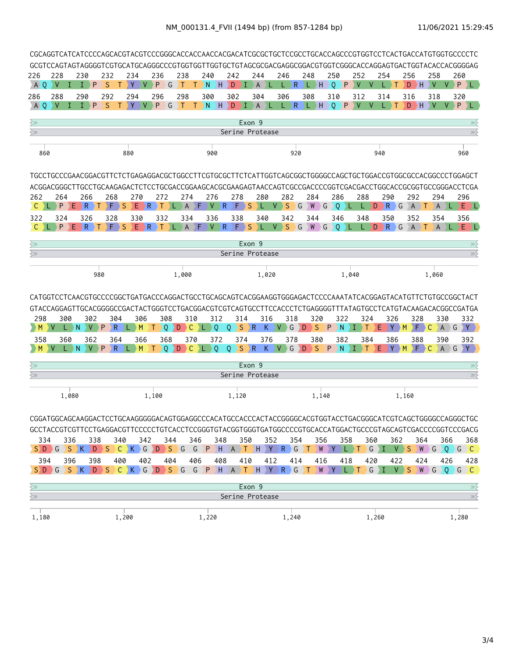| 226<br>A O                                                                         | 228<br>V        | H        | 230<br>$I \rightarrow P$ |                 | 232<br>S<br>Т          | 234<br>Y                                                    | V.              | 236<br>P               | G   | 238<br>Т             | T.   | 240<br>N<br>$\rightarrow$ H                                                                               | 242<br>D                                      | $\mathbf \Phi$              | 244<br>$\mathsf{A}$ | 246<br>) L        | $\mathsf R$<br>L. | 248           | )L)H       | 250<br>$\mathbf{0}$ | $\rightarrow$ P        | 252<br>V | V   | 254 | Т<br>L)                  | 256   | $D$ $H$               | 258<br>V               | V.                    | 260<br>PL                                                                                                   |  |
|------------------------------------------------------------------------------------|-----------------|----------|--------------------------|-----------------|------------------------|-------------------------------------------------------------|-----------------|------------------------|-----|----------------------|------|-----------------------------------------------------------------------------------------------------------|-----------------------------------------------|-----------------------------|---------------------|-------------------|-------------------|---------------|------------|---------------------|------------------------|----------|-----|-----|--------------------------|-------|-----------------------|------------------------|-----------------------|-------------------------------------------------------------------------------------------------------------|--|
| 286                                                                                | 288             |          | 290                      |                 | 292                    | 294                                                         |                 | 296                    |     | 298                  |      | 300                                                                                                       | 302                                           |                             | 304                 | 306               |                   | 308           |            | 310                 |                        | 312      |     | 314 |                          | 316   |                       | 318                    |                       | 320                                                                                                         |  |
| A O                                                                                | $\vee$          | $\bf{D}$ | $I \rightarrow P$        |                 | <sub>S</sub><br>$\top$ | Y                                                           | V               | P                      | G   |                      |      | $T$ ) $T$ $\setminus$ N $\setminus$ H $\setminus$ D $\setminus$ I $\setminus$ A $\setminus$ L $\setminus$ |                                               |                             |                     |                   | $L$ $R$ $L$ $H$   |               |            |                     | $Q$ $P$ $V$            |          | V   |     | $\lfloor \ \rfloor$<br>T |       | $D$ $H$               | $\vee$                 |                       | $V$ $P$<br>DL.                                                                                              |  |
| $\overline{\Huge \sim}$                                                            |                 |          |                          |                 |                        |                                                             |                 |                        |     |                      |      |                                                                                                           |                                               | Exon 9                      |                     |                   |                   |               |            |                     |                        |          |     |     |                          |       |                       |                        |                       | ≫⋛                                                                                                          |  |
| $\overline{\left\langle \right\rangle }$                                           |                 |          |                          |                 |                        |                                                             |                 |                        |     |                      |      |                                                                                                           | Serine Protease                               |                             |                     |                   |                   |               |            |                     |                        |          |     |     |                          |       |                       |                        |                       | $\gg$                                                                                                       |  |
| 860                                                                                |                 |          |                          |                 |                        | 880                                                         |                 |                        |     |                      |      | 900                                                                                                       |                                               |                             |                     |                   | 920               |               |            |                     |                        |          |     | 940 |                          |       |                       |                        |                       | 960                                                                                                         |  |
|                                                                                    |                 |          |                          |                 |                        |                                                             |                 |                        |     |                      |      |                                                                                                           |                                               |                             |                     |                   |                   |               |            |                     |                        |          |     |     |                          |       |                       |                        |                       | TGCCTGCCCGAACGGACGTTCTCTGAGAGGACGCTGGCCTTCGTGCGCTTCTCATTGGTCAGCGGCTGGGGCCAGCTGCTGGACCGTGGCGCCACGGCCCTGGAGCT |  |
|                                                                                    |                 |          |                          |                 |                        |                                                             |                 |                        |     |                      |      |                                                                                                           |                                               |                             |                     |                   |                   |               |            |                     |                        |          |     |     |                          |       |                       |                        |                       | ACGGACGGGCTTGCCTGCAAGAGACTCTCCTGCGACCGGAAGCACGCGAAGAGTAACCAGTCGCCGACCCCGGTCGACGACCTGGCACCGCGGTGCCGGGACCTCGA |  |
| 262<br>$C$ $L$                                                                     | 264<br>P        | E.       | 266<br>$\parallel$ R     | T               | 268<br>) F D           | 270<br>E.<br><sub>S</sub>                                   | $\rightarrow$ R | 272<br>$\rightarrow$ T | Æ   | 274<br>$\mathsf{A}$  | ΣF   | 276<br>$V \ R$                                                                                            | 278<br>$\left\langle \mathsf{F}\right\rangle$ | S                           | 280<br>Æ            | $V \rightarrow$   | 282<br>S          | 284<br>G<br>W | $\big\} G$ |                     | 286<br>$\circ$<br>) Li |          | 288 |     | 290<br>$D \ R$ G         |       | 292<br>$\overline{A}$ | 294<br>T.              | $\vert A \rangle L$   | 296<br>EDD                                                                                                  |  |
| 322                                                                                | 324             |          | 326                      |                 | 328                    | 330                                                         |                 | 332                    |     | 334                  |      | 336                                                                                                       | 338                                           |                             | 340                 |                   | 342               | 344           |            |                     | 346                    |          | 348 |     | 350                      |       | 352                   | 354                    |                       | 356                                                                                                         |  |
| C.                                                                                 | P               |          | $E \rightarrow R$        | $\rightarrow$ T | ۱F.                    | S                                                           | E R             | Τ                      |     | $\mathsf{A}$         | ΣF   | $V \ R$                                                                                                   | $\left\langle \mathsf{F}\right\rangle$        | <sub>S</sub>                | ¢                   |                   | V S G W G         |               |            |                     | $\overline{Q}$         | D.       | L.  |     | $D \ R$ <sup>G</sup>     |       | $\overline{A}$        | $\mathsf{A}$<br>$\top$ |                       | $E$ ) L                                                                                                     |  |
| ≷≫                                                                                 |                 |          |                          |                 |                        |                                                             |                 |                        |     |                      |      |                                                                                                           |                                               | Exon <sub>9</sub>           |                     |                   |                   |               |            |                     |                        |          |     |     |                          |       |                       |                        |                       | $\gg$                                                                                                       |  |
| $\overline{\Huge \sim}$                                                            |                 |          |                          |                 |                        |                                                             |                 |                        |     |                      |      |                                                                                                           | Serine Protease                               |                             |                     |                   |                   |               |            |                     |                        |          |     |     |                          |       |                       |                        |                       | $\gg$                                                                                                       |  |
|                                                                                    |                 |          |                          | 980             |                        |                                                             |                 |                        |     | 1,000                |      |                                                                                                           |                                               |                             | 1,020               |                   |                   |               |            |                     |                        | 1,040    |     |     |                          |       |                       | 1,060                  |                       |                                                                                                             |  |
|                                                                                    |                 |          |                          |                 |                        |                                                             |                 |                        |     |                      |      |                                                                                                           |                                               |                             |                     |                   |                   |               |            |                     |                        |          |     |     |                          |       |                       |                        |                       |                                                                                                             |  |
| 298<br>M                                                                           | 300<br>$\vee$   | N        | 302                      | P               | 304<br>R               |                                                             | 306<br>М        | 308<br>$\circ$         | D   | 310<br>$\mathcal{C}$ |      | 312<br>Q<br>L.                                                                                            | $\circ$                                       | 314<br>S<br>$\rightarrow$ R | 316<br>K.           | <b>V</b>          | 318<br>G          | D             | 320<br>S   | P                   | 322<br>N               |          | 324 | F   | 326<br>Y                 | M     | 328<br>F              | C                      | 330<br>$\overline{A}$ | 332<br>Y.<br>G                                                                                              |  |
| 358                                                                                | 360             |          | 362                      |                 | 364                    |                                                             | 366             | 368                    |     | 370                  |      | 372                                                                                                       |                                               | 374                         | 376                 |                   | 378               |               | 380        |                     | 382                    |          | 384 |     | 386                      |       | 388                   |                        | 390                   | 392                                                                                                         |  |
|                                                                                    |                 |          |                          |                 | R.                     |                                                             | M               | $\Omega$<br>т          | D   | $\mathsf{C}$         | ) L. | $\overline{0}$                                                                                            |                                               |                             |                     | Q S R K V G D S P |                   |               |            |                     | $\mathsf{N}$           | ΣТ       |     | Ε   | Y                        | M     | F                     | C                      | AG                    | Y :                                                                                                         |  |
| ≷≫                                                                                 |                 |          |                          |                 |                        |                                                             |                 |                        |     |                      |      |                                                                                                           |                                               | Exon 9                      |                     |                   |                   |               |            |                     |                        |          |     |     |                          |       |                       |                        |                       | ≫                                                                                                           |  |
| $\Leftrightarrow$                                                                  |                 |          |                          |                 |                        |                                                             |                 |                        |     |                      |      |                                                                                                           | Serine Protease                               |                             |                     |                   |                   |               |            |                     |                        |          |     |     |                          |       |                       |                        |                       | $\gg$                                                                                                       |  |
|                                                                                    |                 | 1,080    |                          |                 |                        |                                                             |                 | 1,100                  |     |                      |      |                                                                                                           | 1,120                                         |                             |                     |                   |                   |               | 1,140      |                     |                        |          |     |     |                          | 1,160 |                       |                        |                       |                                                                                                             |  |
| 334                                                                                |                 | 336      |                          | 338             | 340                    |                                                             | 342             |                        | 344 |                      | 346  | 348                                                                                                       |                                               | 350                         |                     | 352               | 354               |               | 356        |                     | 358                    |          | 360 |     | 362                      |       | 364                   |                        | 366                   | 368                                                                                                         |  |
|                                                                                    | $S$ D G S K D S |          |                          |                 |                        | $C$ $K$ $G$ $D$ $S$ $G$ $G$ $P$ $H$ $A$ $T$ $H$ $Y$ $R$ $G$ |                 |                        |     |                      |      |                                                                                                           |                                               |                             |                     |                   |                   | .) T .        |            | WY.                 |                        |          |     |     |                          |       |                       |                        |                       | $\overline{C}$                                                                                              |  |
| 394                                                                                |                 | 396      |                          | 398             | 400                    |                                                             | 402             |                        | 404 |                      | 406  | 408                                                                                                       |                                               | 410                         |                     | 412               | 414               |               | 416        |                     | 418                    |          | 420 |     | 422                      |       | 424                   |                        | 426                   | 428<br>SDGSKDSCKGDSGGPHATHYRGTWYLTGIVSWGQGC                                                                 |  |
|                                                                                    |                 |          |                          |                 |                        |                                                             |                 |                        |     |                      |      |                                                                                                           |                                               |                             |                     |                   |                   |               |            |                     |                        |          |     |     |                          |       |                       |                        |                       |                                                                                                             |  |
| $\overline{\left\langle \mathbf{y}\right\rangle }$<br>$\overline{\leftthreetimes}$ |                 |          |                          |                 |                        |                                                             |                 |                        |     |                      |      |                                                                                                           | Serine Protease                               | Exon 9                      |                     |                   |                   |               |            |                     |                        |          |     |     |                          |       |                       |                        |                       | $\gg$<br>$\gg$                                                                                              |  |